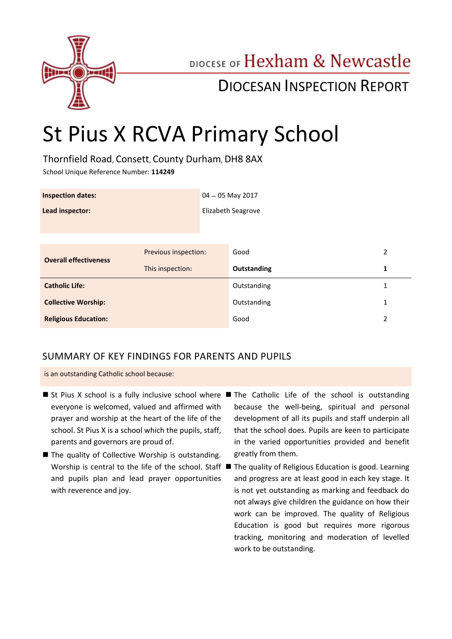

## DIOCESE OF Hexham & Newcastle

## DIOCESAN INSPECTION REPORT

# St Pius X RCVA Primary School

Thornfield Road, Consett, County Durham, DH8 8AX

School Unique Reference Number: **114249**

| <b>Inspection dates:</b>     |                      | $04 - 05$ May 2017 |             |   |
|------------------------------|----------------------|--------------------|-------------|---|
| Lead inspector:              |                      | Elizabeth Seagrove |             |   |
|                              |                      |                    |             |   |
|                              |                      |                    |             |   |
| <b>Overall effectiveness</b> | Previous inspection: |                    | Good        | 2 |
|                              | This inspection:     |                    | Outstanding | 1 |
| <b>Catholic Life:</b>        |                      |                    | Outstanding | 1 |
| <b>Collective Worship:</b>   |                      |                    | Outstanding | 1 |
| <b>Religious Education:</b>  |                      |                    | Good        | 2 |

## SUMMARY OF KEY FINDINGS FOR PARENTS AND PUPILS

is an outstanding Catholic school because:

- everyone is welcomed, valued and affirmed with prayer and worship at the heart of the life of the school. St Pius X is a school which the pupils, staff, parents and governors are proud of.
- The quality of Collective Worship is outstanding. and pupils plan and lead prayer opportunities with reverence and joy.
- St Pius X school is a fully inclusive school where The Catholic Life of the school is outstanding because the well-being, spiritual and personal development of all its pupils and staff underpin all that the school does. Pupils are keen to participate in the varied opportunities provided and benefit greatly from them.
	- Worship is central to the life of the school. Staff **The quality of Religious Education is good.** Learning and progress are at least good in each key stage. It is not yet outstanding as marking and feedback do not always give children the guidance on how their work can be improved. The quality of Religious Education is good but requires more rigorous tracking, monitoring and moderation of levelled work to be outstanding.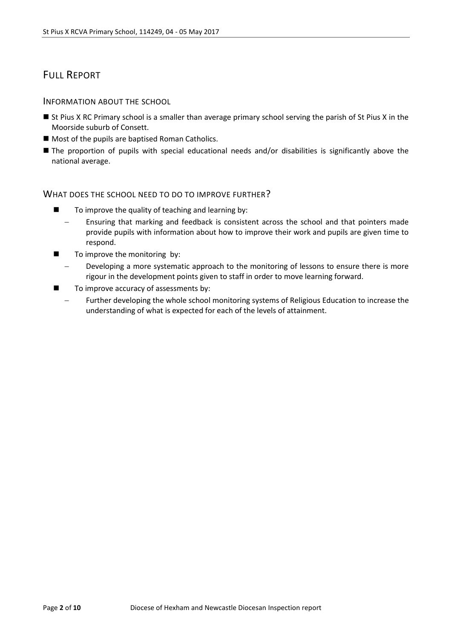## FULL REPORT

INFORMATION ABOUT THE SCHOOL

- St Pius X RC Primary school is a smaller than average primary school serving the parish of St Pius X in the Moorside suburb of Consett.
- **Most of the pupils are baptised Roman Catholics.**
- The proportion of pupils with special educational needs and/or disabilities is significantly above the national average.

#### WHAT DOES THE SCHOOL NEED TO DO TO IMPROVE FURTHER?

- $\blacksquare$  To improve the quality of teaching and learning by:
	- Ensuring that marking and feedback is consistent across the school and that pointers made provide pupils with information about how to improve their work and pupils are given time to respond.
- To improve the monitoring by:
	- Developing a more systematic approach to the monitoring of lessons to ensure there is more rigour in the development points given to staff in order to move learning forward.
- To improve accuracy of assessments by:
	- Further developing the whole school monitoring systems of Religious Education to increase the understanding of what is expected for each of the levels of attainment.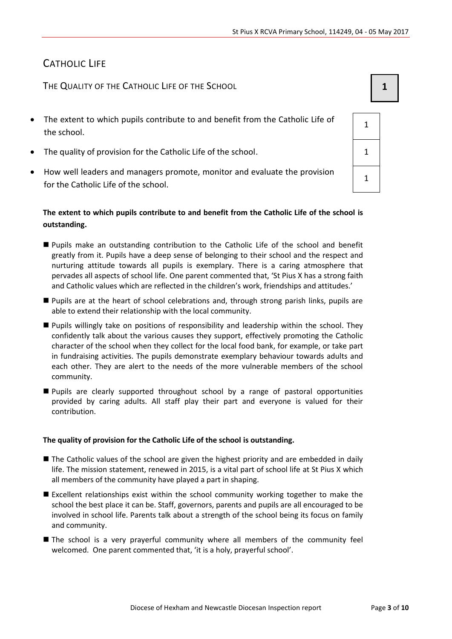## CATHOLIC LIFE

THE QUALITY OF THE CATHOLIC LIFE OF THE SCHOOL **1 1** 

- The extent to which pupils contribute to and benefit from the Catholic Life of the school.
- The quality of provision for the Catholic Life of the school.  $1 \t 1$
- How well leaders and managers promote, monitor and evaluate the provision for the Catholic Life of the school.

#### **The extent to which pupils contribute to and benefit from the Catholic Life of the school is outstanding.**

- Pupils make an outstanding contribution to the Catholic Life of the school and benefit greatly from it. Pupils have a deep sense of belonging to their school and the respect and nurturing attitude towards all pupils is exemplary. There is a caring atmosphere that pervades all aspects of school life. One parent commented that, 'St Pius X has a strong faith and Catholic values which are reflected in the children's work, friendships and attitudes.'
- Pupils are at the heart of school celebrations and, through strong parish links, pupils are able to extend their relationship with the local community.
- Pupils willingly take on positions of responsibility and leadership within the school. They confidently talk about the various causes they support, effectively promoting the Catholic character of the school when they collect for the local food bank, for example, or take part in fundraising activities. The pupils demonstrate exemplary behaviour towards adults and each other. They are alert to the needs of the more vulnerable members of the school community.
- Pupils are clearly supported throughout school by a range of pastoral opportunities provided by caring adults. All staff play their part and everyone is valued for their contribution.

#### **The quality of provision for the Catholic Life of the school is outstanding.**

- The Catholic values of the school are given the highest priority and are embedded in daily life. The mission statement, renewed in 2015, is a vital part of school life at St Pius X which all members of the community have played a part in shaping.
- Excellent relationships exist within the school community working together to make the school the best place it can be. Staff, governors, parents and pupils are all encouraged to be involved in school life. Parents talk about a strength of the school being its focus on family and community.
- The school is a very prayerful community where all members of the community feel welcomed. One parent commented that, 'it is a holy, prayerful school'.

1 1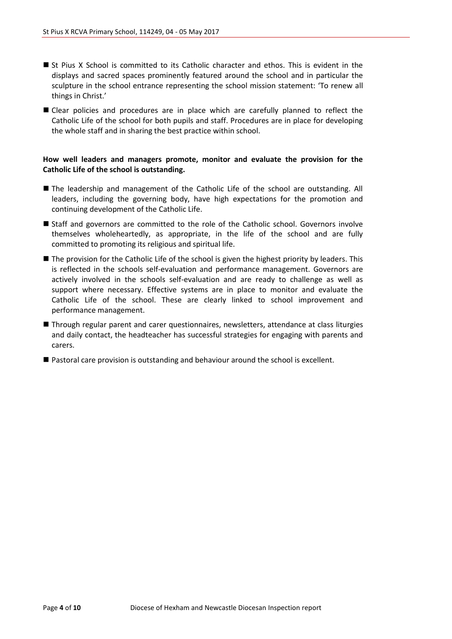- St Pius X School is committed to its Catholic character and ethos. This is evident in the displays and sacred spaces prominently featured around the school and in particular the sculpture in the school entrance representing the school mission statement: 'To renew all things in Christ.'
- Clear policies and procedures are in place which are carefully planned to reflect the Catholic Life of the school for both pupils and staff. Procedures are in place for developing the whole staff and in sharing the best practice within school.

#### **How well leaders and managers promote, monitor and evaluate the provision for the Catholic Life of the school is outstanding.**

- The leadership and management of the Catholic Life of the school are outstanding. All leaders, including the governing body, have high expectations for the promotion and continuing development of the Catholic Life.
- Staff and governors are committed to the role of the Catholic school. Governors involve themselves wholeheartedly, as appropriate, in the life of the school and are fully committed to promoting its religious and spiritual life.
- The provision for the Catholic Life of the school is given the highest priority by leaders. This is reflected in the schools self-evaluation and performance management. Governors are actively involved in the schools self-evaluation and are ready to challenge as well as support where necessary. Effective systems are in place to monitor and evaluate the Catholic Life of the school. These are clearly linked to school improvement and performance management.
- Through regular parent and carer questionnaires, newsletters, attendance at class liturgies and daily contact, the headteacher has successful strategies for engaging with parents and carers.
- Pastoral care provision is outstanding and behaviour around the school is excellent.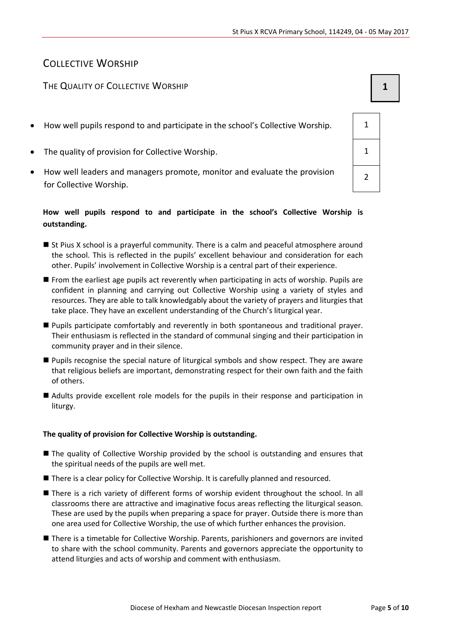## COLLECTIVE WORSHIP

### The Quality of Collective Worship **1 1**

- How well pupils respond to and participate in the school's Collective Worship.  $\vert$  1
- The quality of provision for Collective Worship. The quality of provision for Collective Worship.
- How well leaders and managers promote, monitor and evaluate the provision for Collective Worship.

#### **How well pupils respond to and participate in the school's Collective Worship is outstanding.**

- St Pius X school is a prayerful community. There is a calm and peaceful atmosphere around the school. This is reflected in the pupils' excellent behaviour and consideration for each other. Pupils' involvement in Collective Worship is a central part of their experience.
- From the earliest age pupils act reverently when participating in acts of worship. Pupils are confident in planning and carrying out Collective Worship using a variety of styles and resources. They are able to talk knowledgably about the variety of prayers and liturgies that take place. They have an excellent understanding of the Church's liturgical year.
- Pupils participate comfortably and reverently in both spontaneous and traditional prayer. Their enthusiasm is reflected in the standard of communal singing and their participation in community prayer and in their silence.
- Pupils recognise the special nature of liturgical symbols and show respect. They are aware that religious beliefs are important, demonstrating respect for their own faith and the faith of others.
- Adults provide excellent role models for the pupils in their response and participation in liturgy.

#### **The quality of provision for Collective Worship is outstanding.**

- The quality of Collective Worship provided by the school is outstanding and ensures that the spiritual needs of the pupils are well met.
- There is a clear policy for Collective Worship. It is carefully planned and resourced.
- There is a rich variety of different forms of worship evident throughout the school. In all classrooms there are attractive and imaginative focus areas reflecting the liturgical season. These are used by the pupils when preparing a space for prayer. Outside there is more than one area used for Collective Worship, the use of which further enhances the provision.
- There is a timetable for Collective Worship. Parents, parishioners and governors are invited to share with the school community. Parents and governors appreciate the opportunity to attend liturgies and acts of worship and comment with enthusiasm.

2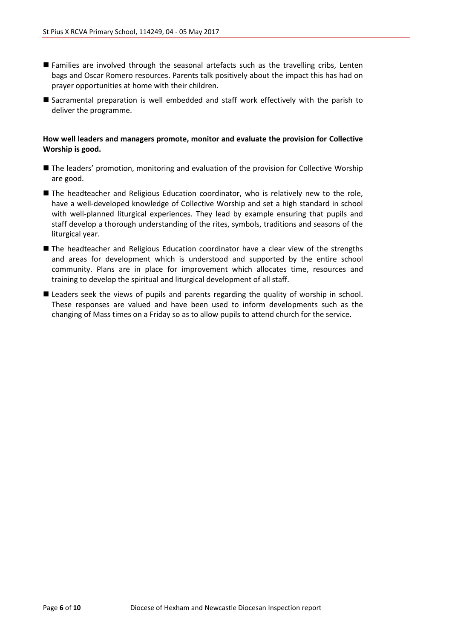- Families are involved through the seasonal artefacts such as the travelling cribs, Lenten bags and Oscar Romero resources. Parents talk positively about the impact this has had on prayer opportunities at home with their children.
- Sacramental preparation is well embedded and staff work effectively with the parish to deliver the programme.

#### **How well leaders and managers promote, monitor and evaluate the provision for Collective Worship is good.**

- The leaders' promotion, monitoring and evaluation of the provision for Collective Worship are good.
- The headteacher and Religious Education coordinator, who is relatively new to the role, have a well-developed knowledge of Collective Worship and set a high standard in school with well-planned liturgical experiences. They lead by example ensuring that pupils and staff develop a thorough understanding of the rites, symbols, traditions and seasons of the liturgical year.
- The headteacher and Religious Education coordinator have a clear view of the strengths and areas for development which is understood and supported by the entire school community. Plans are in place for improvement which allocates time, resources and training to develop the spiritual and liturgical development of all staff.
- **E** Leaders seek the views of pupils and parents regarding the quality of worship in school. These responses are valued and have been used to inform developments such as the changing of Mass times on a Friday so as to allow pupils to attend church for the service.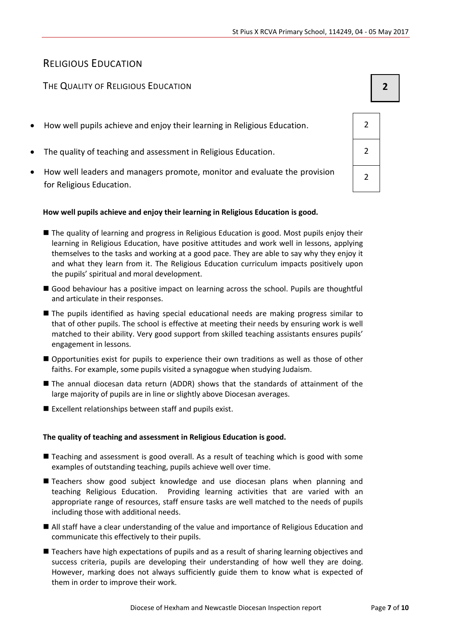### RELIGIOUS EDUCATION

#### THE QUALITY OF RELIGIOUS EDUCATION **2**

- How well pupils achieve and enjoy their learning in Religious Education. 2
- The quality of teaching and assessment in Religious Education. 2
- How well leaders and managers promote, monitor and evaluate the provision for Religious Education.

#### **How well pupils achieve and enjoy their learning in Religious Education is good.**

- The quality of learning and progress in Religious Education is good. Most pupils enjoy their learning in Religious Education, have positive attitudes and work well in lessons, applying themselves to the tasks and working at a good pace. They are able to say why they enjoy it and what they learn from it. The Religious Education curriculum impacts positively upon the pupils' spiritual and moral development.
- Good behaviour has a positive impact on learning across the school. Pupils are thoughtful and articulate in their responses.
- The pupils identified as having special educational needs are making progress similar to that of other pupils. The school is effective at meeting their needs by ensuring work is well matched to their ability. Very good support from skilled teaching assistants ensures pupils' engagement in lessons.
- Opportunities exist for pupils to experience their own traditions as well as those of other faiths. For example, some pupils visited a synagogue when studying Judaism.
- The annual diocesan data return (ADDR) shows that the standards of attainment of the large majority of pupils are in line or slightly above Diocesan averages.
- $\blacksquare$  Excellent relationships between staff and pupils exist.

#### **The quality of teaching and assessment in Religious Education is good.**

- Teaching and assessment is good overall. As a result of teaching which is good with some examples of outstanding teaching, pupils achieve well over time.
- **Teachers show good subject knowledge and use diocesan plans when planning and** teaching Religious Education. Providing learning activities that are varied with an appropriate range of resources, staff ensure tasks are well matched to the needs of pupils including those with additional needs.
- All staff have a clear understanding of the value and importance of Religious Education and communicate this effectively to their pupils.
- Teachers have high expectations of pupils and as a result of sharing learning objectives and success criteria, pupils are developing their understanding of how well they are doing. However, marking does not always sufficiently guide them to know what is expected of them in order to improve their work.

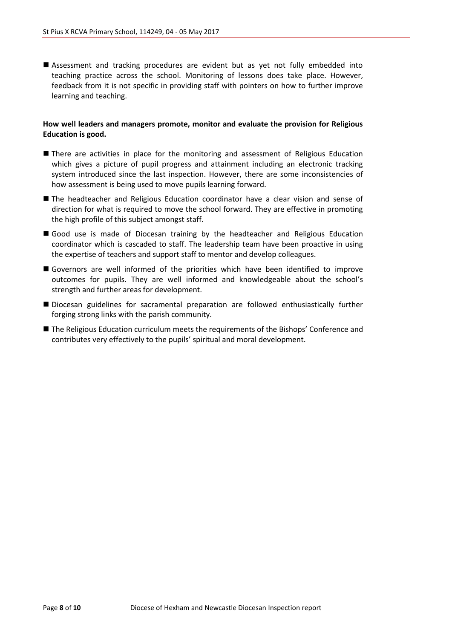Assessment and tracking procedures are evident but as yet not fully embedded into teaching practice across the school. Monitoring of lessons does take place. However, feedback from it is not specific in providing staff with pointers on how to further improve learning and teaching.

#### **How well leaders and managers promote, monitor and evaluate the provision for Religious Education is good.**

- **There are activities in place for the monitoring and assessment of Religious Education** which gives a picture of pupil progress and attainment including an electronic tracking system introduced since the last inspection. However, there are some inconsistencies of how assessment is being used to move pupils learning forward.
- The headteacher and Religious Education coordinator have a clear vision and sense of direction for what is required to move the school forward. They are effective in promoting the high profile of this subject amongst staff.
- Good use is made of Diocesan training by the headteacher and Religious Education coordinator which is cascaded to staff. The leadership team have been proactive in using the expertise of teachers and support staff to mentor and develop colleagues.
- Governors are well informed of the priorities which have been identified to improve outcomes for pupils. They are well informed and knowledgeable about the school's strength and further areas for development.
- Diocesan guidelines for sacramental preparation are followed enthusiastically further forging strong links with the parish community.
- The Religious Education curriculum meets the requirements of the Bishops' Conference and contributes very effectively to the pupils' spiritual and moral development.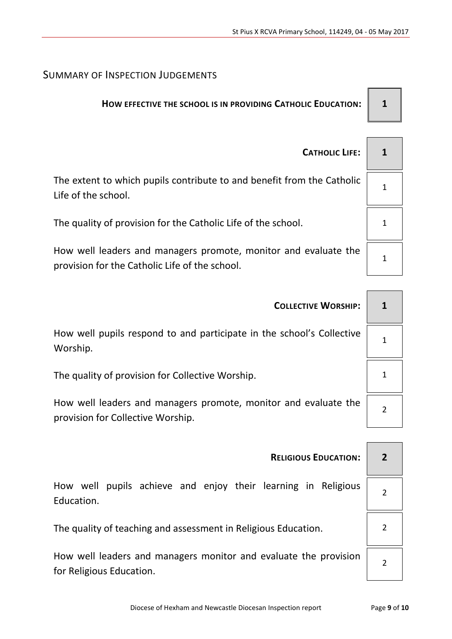## SUMMARY OF INSPECTION JUDGEMENTS

## **HOW EFFECTIVE THE SCHOOL IS IN PROVIDING CATHOLIC EDUCATION: 1**

| <b>CATHOLIC LIFE:</b>                                                                                             |  |
|-------------------------------------------------------------------------------------------------------------------|--|
| The extent to which pupils contribute to and benefit from the Catholic<br>Life of the school.                     |  |
| The quality of provision for the Catholic Life of the school.                                                     |  |
| How well leaders and managers promote, monitor and evaluate the<br>provision for the Catholic Life of the school. |  |

| <b>COLLECTIVE WORSHIP:</b>                                                                           |  |  |
|------------------------------------------------------------------------------------------------------|--|--|
| How well pupils respond to and participate in the school's Collective<br>Worship.                    |  |  |
| The quality of provision for Collective Worship.                                                     |  |  |
| How well leaders and managers promote, monitor and evaluate the<br>provision for Collective Worship. |  |  |
|                                                                                                      |  |  |
| <b>RELIGIOUS EDUCATION:</b>                                                                          |  |  |

How well pupils achieve and enjoy their learning in Religious Education.

The quality of teaching and assessment in Religious Education.  $\vert$  2

How well leaders and managers monitor and evaluate the provision for Religious Education.

2